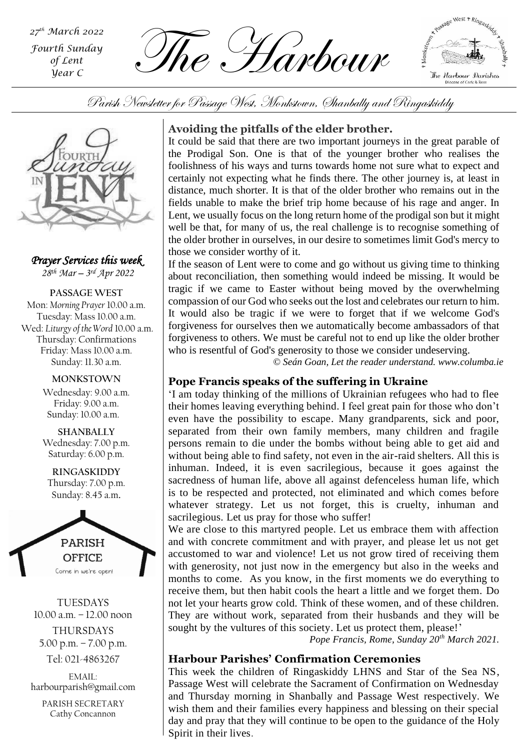*th March 2022 Fourth Sunday of Lent Year C*

The Harbour



Parish Newsletter for Passage West, Monkstown, Shanbally and Ringaskiddy



*Prayer Services this week 28 th Mar – 3 rd Apr 2022*

**PASSAGE WEST** Mon: *Morning Prayer* 10.00 a.m. Tuesday: Mass 10.00 a.m. Wed: *Liturgy of the Word* 10.00 a.m. Thursday: Confirmations Friday: Mass 10.00 a.m. Sunday: 11.30 a.m.

> **MONKSTOWN** Wednesday: 9.00 a.m. Friday: 9.00 a.m. Sunday: 10.00 a.m.

> **SHANBALLY** Wednesday: 7.00 p.m. Saturday: 6.00 p.m.

**RINGASKIDDY** Thursday: 7.00 p.m. Sunday: 8.45 a.m.



TUESDAYS 10.00 a.m. – 12.00 noon THURSDAYS 5.00 p.m. – 7.00 p.m.

Tel: 021-4863267

EMAIL: harbourparish@gmail.com

PARISH SECRETARY Cathy Concannon

# **Avoiding the pitfalls of the elder brother.**

It could be said that there are two important journeys in the great parable of the Prodigal Son. One is that of the younger brother who realises the foolishness of his ways and turns towards home not sure what to expect and certainly not expecting what he finds there. The other journey is, at least in distance, much shorter. It is that of the older brother who remains out in the fields unable to make the brief trip home because of his rage and anger. In Lent, we usually focus on the long return home of the prodigal son but it might well be that, for many of us, the real challenge is to recognise something of the older brother in ourselves, in our desire to sometimes limit God's mercy to those we consider worthy of it.

If the season of Lent were to come and go without us giving time to thinking about reconciliation, then something would indeed be missing. It would be tragic if we came to Easter without being moved by the overwhelming compassion of our God who seeks out the lost and celebrates our return to him. It would also be tragic if we were to forget that if we welcome God's forgiveness for ourselves then we automatically become ambassadors of that forgiveness to others. We must be careful not to end up like the older brother who is resentful of God's generosity to those we consider undeserving.

*© Seán Goan, Let the reader understand. www.columba.ie*

# **Pope Francis speaks of the suffering in Ukraine**

without being able to find safety, not even in the air-raid shelters. All this is 'I am today thinking of the millions of Ukrainian refugees who had to flee their homes leaving everything behind. I feel great pain for those who don't even have the possibility to escape. Many grandparents, sick and poor, separated from their own family members, many children and fragile persons remain to die under the bombs without being able to get aid and inhuman. Indeed, it is even sacrilegious, because it goes against the sacredness of human life, above all against defenceless human life, which is to be respected and protected, not eliminated and which comes before whatever strategy. Let us not forget, this is cruelty, inhuman and sacrilegious. Let us pray for those who suffer!

We are close to this martyred people. Let us embrace them with affection and with concrete commitment and with prayer, and please let us not get accustomed to war and violence! Let us not grow tired of receiving them with generosity, not just now in the emergency but also in the weeks and months to come. As you know, in the first moments we do everything to receive them, but then habit cools the heart a little and we forget them. Do not let your hearts grow cold. Think of these women, and of these children. They are without work, separated from their husbands and they will be sought by the vultures of this society. Let us protect them, please!'

*Pope Francis, Rome, Sunday 20th March 2021.*

# **Harbour Parishes' Confirmation Ceremonies**

This week the children of Ringaskiddy LHNS and Star of the Sea NS, Passage West will celebrate the Sacrament of Confirmation on Wednesday and Thursday morning in Shanbally and Passage West respectively. We wish them and their families every happiness and blessing on their special day and pray that they will continue to be open to the guidance of the Holy Spirit in their lives.